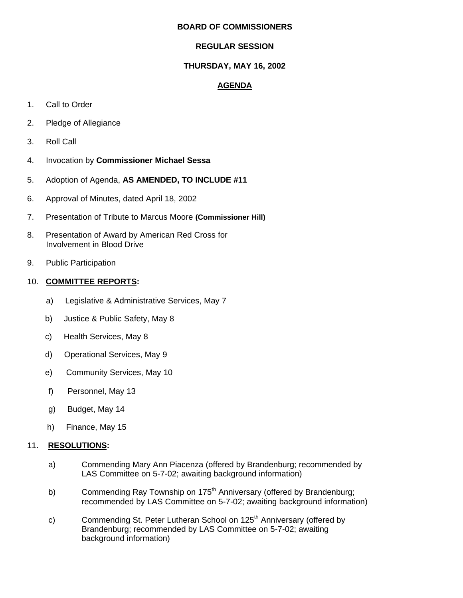### **BOARD OF COMMISSIONERS**

# **REGULAR SESSION**

## **THURSDAY, MAY 16, 2002**

## **AGENDA**

- 1. Call to Order
- 2. Pledge of Allegiance
- 3. Roll Call
- 4. Invocation by **Commissioner Michael Sessa**
- 5. Adoption of Agenda, **AS AMENDED, TO INCLUDE #11**
- 6. Approval of Minutes, dated April 18, 2002
- 7. Presentation of Tribute to Marcus Moore **(Commissioner Hill)**
- 8. Presentation of Award by American Red Cross for Involvement in Blood Drive
- 9. Public Participation

### 10. **COMMITTEE REPORTS:**

- a) Legislative & Administrative Services, May 7
- b) Justice & Public Safety, May 8
- c) Health Services, May 8
- d) Operational Services, May 9
- **e)** Community Services, May 10
- f) Personnel, May 13
- g) Budget, May 14
- h) Finance, May 15

### 11. **RESOLUTIONS:**

- a) Commending Mary Ann Piacenza (offered by Brandenburg; recommended by LAS Committee on 5-7-02; awaiting background information)
- b) Commending Ray Township on  $175<sup>th</sup>$  Anniversary (offered by Brandenburg; recommended by LAS Committee on 5-7-02; awaiting background information)
- c) Commending St. Peter Lutheran School on 125<sup>th</sup> Anniversary (offered by Brandenburg; recommended by LAS Committee on 5-7-02; awaiting background information)